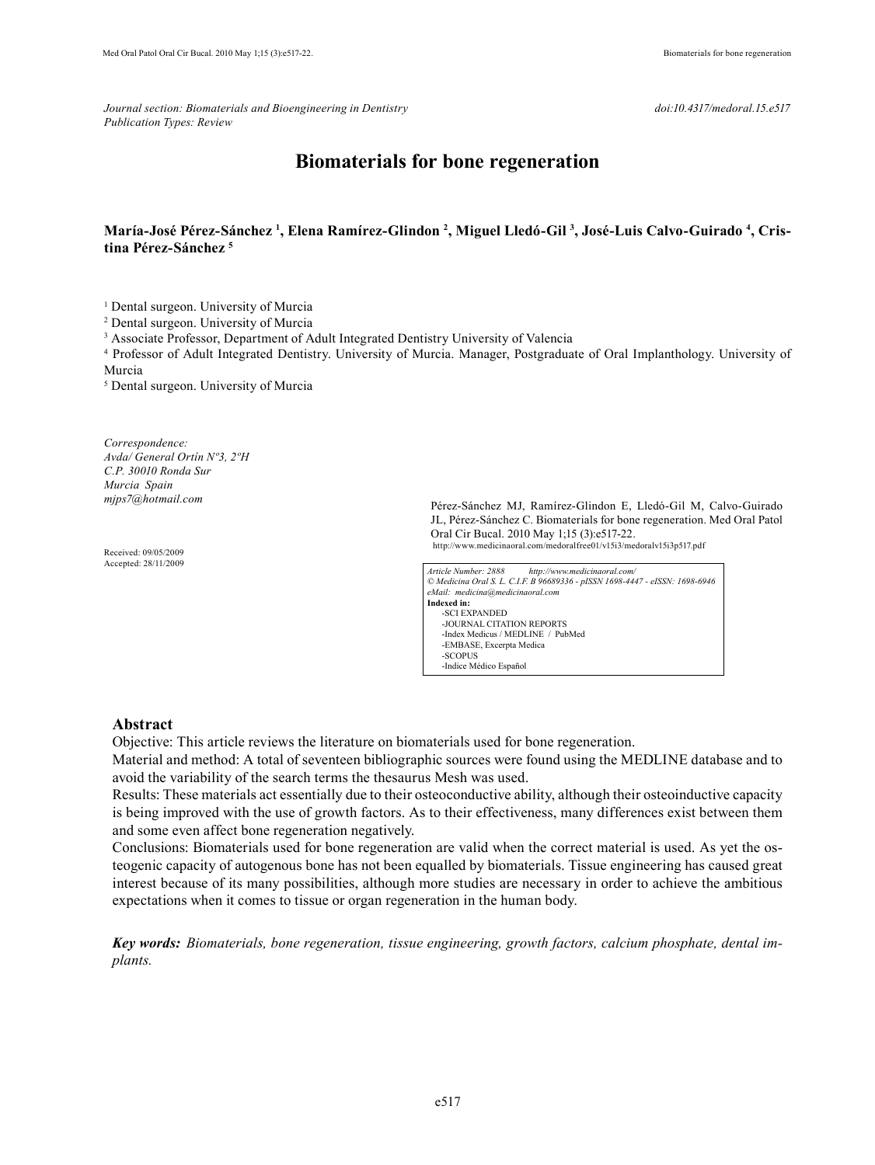*Journal section: Biomaterials and Bioengineering in Dentistry doi:10.4317/medoral.15.e517 Publication Types: Review*

# **Biomaterials for bone regeneration**

## **María-José Pérez-Sánchez 1 , Elena Ramírez-Glindon 2 , Miguel Lledó-Gil 3 , José-Luis Calvo-Guirado 4 , Cristina Pérez-Sánchez 5**

<sup>1</sup> Dental surgeon. University of Murcia

2 Dental surgeon. University of Murcia

<sup>3</sup> Associate Professor, Department of Adult Integrated Dentistry University of Valencia

4 Professor of Adult Integrated Dentistry. University of Murcia. Manager, Postgraduate of Oral Implanthology. University of Murcia

5 Dental surgeon. University of Murcia

*Correspondence: Avda/ General Ortín Nº3, 2ºH C.P. 30010 Ronda Sur Murcia Spain mjps7@hotmail.com*

Received: 09/05/2009 Accepted: 28/11/2009

Pérez-Sánchez MJ, Ramírez-Glindon E, Lledó-Gil M, Calvo-Guirado JL, Pérez-Sánchez C. Biomaterials for bone regeneration. Med Oral Patol Oral Cir Bucal. 2010 May 1;15 (3):e517-22. http://www.medicinaoral.com/medoralfree01/v15i3/medoralv15i3p517.pdf

*Article Number: 2888 http://www.medicinaoral.com/ © Medicina Oral S. L. C.I.F. B 96689336 - pISSN 1698-4447 - eISSN: 1698-6946 eMail: medicina@medicinaoral.com*  **Indexed in:**  -SCI EXPANDED -JOURNAL CITATION REPORTS -Index Medicus / MEDLINE / PubMed -EMBASE, Excerpta Medica -SCOPUS -Indice Médico Español

#### **Abstract**

Objective: This article reviews the literature on biomaterials used for bone regeneration.

Material and method: A total of seventeen bibliographic sources were found using the MEDLINE database and to avoid the variability of the search terms the thesaurus Mesh was used.

Results: These materials act essentially due to their osteoconductive ability, although their osteoinductive capacity is being improved with the use of growth factors. As to their effectiveness, many differences exist between them and some even affect bone regeneration negatively.

Conclusions: Biomaterials used for bone regeneration are valid when the correct material is used. As yet the osteogenic capacity of autogenous bone has not been equalled by biomaterials. Tissue engineering has caused great interest because of its many possibilities, although more studies are necessary in order to achieve the ambitious expectations when it comes to tissue or organ regeneration in the human body.

*Key words: Biomaterials, bone regeneration, tissue engineering, growth factors, calcium phosphate, dental implants.*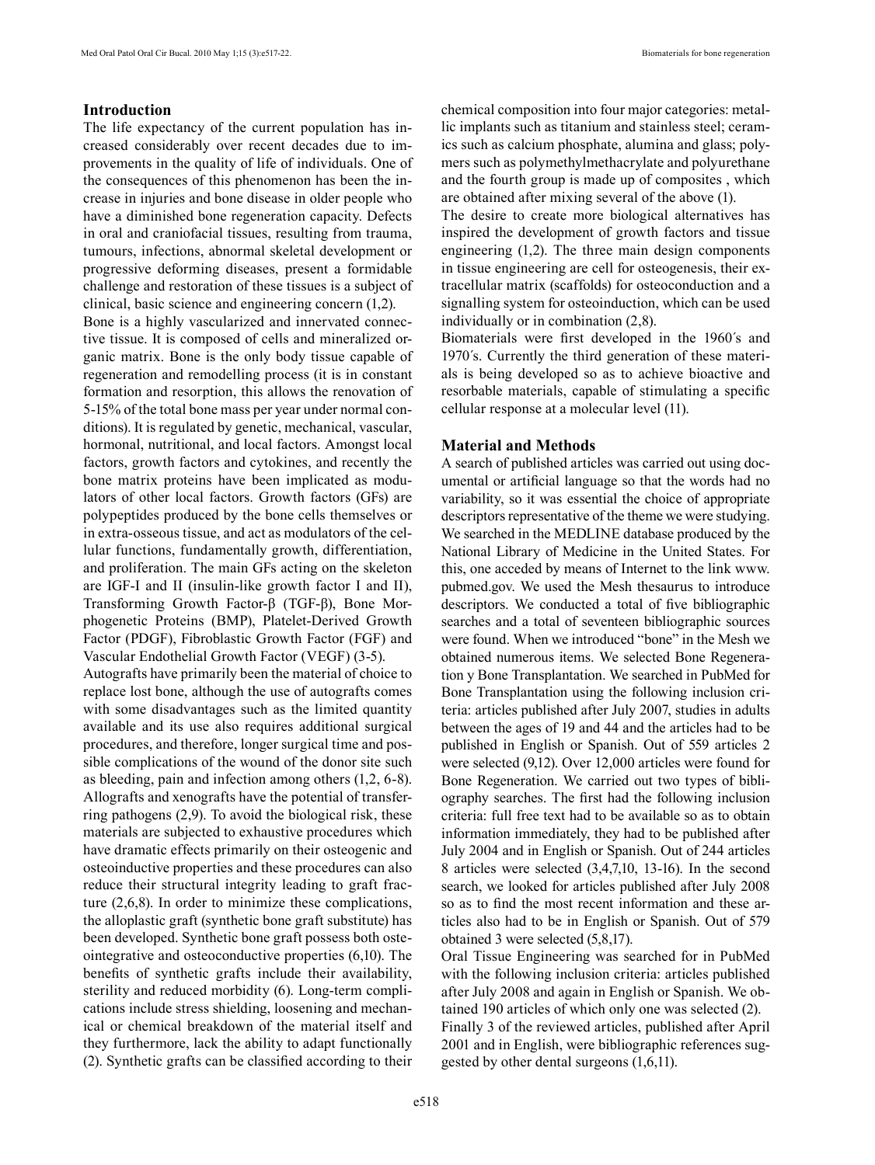# **Introduction**

The life expectancy of the current population has increased considerably over recent decades due to improvements in the quality of life of individuals. One of the consequences of this phenomenon has been the increase in injuries and bone disease in older people who have a diminished bone regeneration capacity. Defects in oral and craniofacial tissues, resulting from trauma, tumours, infections, abnormal skeletal development or progressive deforming diseases, present a formidable challenge and restoration of these tissues is a subject of clinical, basic science and engineering concern (1,2).

Bone is a highly vascularized and innervated connective tissue. It is composed of cells and mineralized organic matrix. Bone is the only body tissue capable of regeneration and remodelling process (it is in constant formation and resorption, this allows the renovation of 5-15% of the total bone mass per year under normal conditions). It is regulated by genetic, mechanical, vascular, hormonal, nutritional, and local factors. Amongst local factors, growth factors and cytokines, and recently the bone matrix proteins have been implicated as modulators of other local factors. Growth factors (GFs) are polypeptides produced by the bone cells themselves or in extra-osseous tissue, and act as modulators of the cellular functions, fundamentally growth, differentiation, and proliferation. The main GFs acting on the skeleton are IGF-I and II (insulin-like growth factor I and II), Transforming Growth Factor-β (TGF-β), Bone Morphogenetic Proteins (BMP), Platelet-Derived Growth Factor (PDGF), Fibroblastic Growth Factor (FGF) and Vascular Endothelial Growth Factor (VEGF) (3-5).

Autografts have primarily been the material of choice to replace lost bone, although the use of autografts comes with some disadvantages such as the limited quantity available and its use also requires additional surgical procedures, and therefore, longer surgical time and possible complications of the wound of the donor site such as bleeding, pain and infection among others (1,2, 6-8). Allografts and xenografts have the potential of transferring pathogens (2,9). To avoid the biological risk, these materials are subjected to exhaustive procedures which have dramatic effects primarily on their osteogenic and osteoinductive properties and these procedures can also reduce their structural integrity leading to graft fracture (2,6,8). In order to minimize these complications, the alloplastic graft (synthetic bone graft substitute) has been developed. Synthetic bone graft possess both osteointegrative and osteoconductive properties (6,10). The benefits of synthetic grafts include their availability, sterility and reduced morbidity (6). Long-term complications include stress shielding, loosening and mechanical or chemical breakdown of the material itself and they furthermore, lack the ability to adapt functionally (2). Synthetic grafts can be classified according to their chemical composition into four major categories: metallic implants such as titanium and stainless steel; ceramics such as calcium phosphate, alumina and glass; polymers such as polymethylmethacrylate and polyurethane and the fourth group is made up of composites , which are obtained after mixing several of the above (1).

The desire to create more biological alternatives has inspired the development of growth factors and tissue engineering (1,2). The three main design components in tissue engineering are cell for osteogenesis, their extracellular matrix (scaffolds) for osteoconduction and a signalling system for osteoinduction, which can be used individually or in combination (2,8).

Biomaterials were first developed in the 1960´s and 1970´s. Currently the third generation of these materials is being developed so as to achieve bioactive and resorbable materials, capable of stimulating a specific cellular response at a molecular level (11).

#### **Material and Methods**

A search of published articles was carried out using documental or artificial language so that the words had no variability, so it was essential the choice of appropriate descriptors representative of the theme we were studying. We searched in the MEDLINE database produced by the National Library of Medicine in the United States. For this, one acceded by means of Internet to the link www. pubmed.gov. We used the Mesh thesaurus to introduce descriptors. We conducted a total of five bibliographic searches and a total of seventeen bibliographic sources were found. When we introduced "bone" in the Mesh we obtained numerous items. We selected Bone Regeneration y Bone Transplantation. We searched in PubMed for Bone Transplantation using the following inclusion criteria: articles published after July 2007, studies in adults between the ages of 19 and 44 and the articles had to be published in English or Spanish. Out of 559 articles 2 were selected (9,12). Over 12,000 articles were found for Bone Regeneration. We carried out two types of bibliography searches. The first had the following inclusion criteria: full free text had to be available so as to obtain information immediately, they had to be published after July 2004 and in English or Spanish. Out of 244 articles 8 articles were selected (3,4,7,10, 13-16). In the second search, we looked for articles published after July 2008 so as to find the most recent information and these articles also had to be in English or Spanish. Out of 579 obtained 3 were selected (5,8,17).

Oral Tissue Engineering was searched for in PubMed with the following inclusion criteria: articles published after July 2008 and again in English or Spanish. We obtained 190 articles of which only one was selected (2). Finally 3 of the reviewed articles, published after April 2001 and in English, were bibliographic references suggested by other dental surgeons (1,6,11).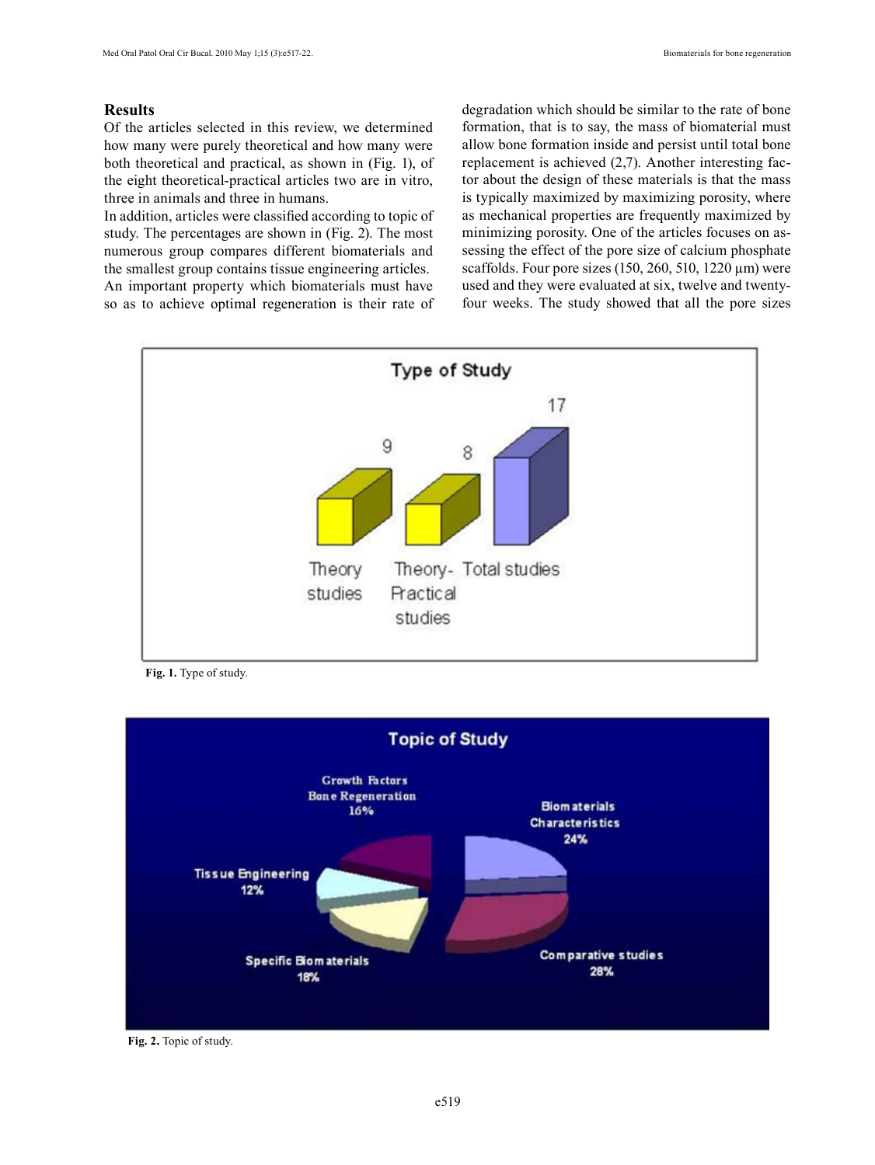# **Results**

Of the articles selected in this review, we determined how many were purely theoretical and how many were both theoretical and practical, as shown in (Fig. 1), of the eight theoretical-practical articles two are in vitro, three in animals and three in humans.

In addition, articles were classified according to topic of study. The percentages are shown in (Fig. 2). The most numerous group compares different biomaterials and the smallest group contains tissue engineering articles. An important property which biomaterials must have so as to achieve optimal regeneration is their rate of degradation which should be similar to the rate of bone formation, that is to say, the mass of biomaterial must allow bone formation inside and persist until total bone replacement is achieved (2,7). Another interesting factor about the design of these materials is that the mass is typically maximized by maximizing porosity, where as mechanical properties are frequently maximized by minimizing porosity. One of the articles focuses on assessing the effect of the pore size of calcium phosphate scaffolds. Four pore sizes  $(150, 260, 510, 1220 \,\mu m)$  were used and they were evaluated at six, twelve and twentyfour weeks. The study showed that all the pore sizes



Fig. 1. Type of study.



**Fig. 2.** Topic of study.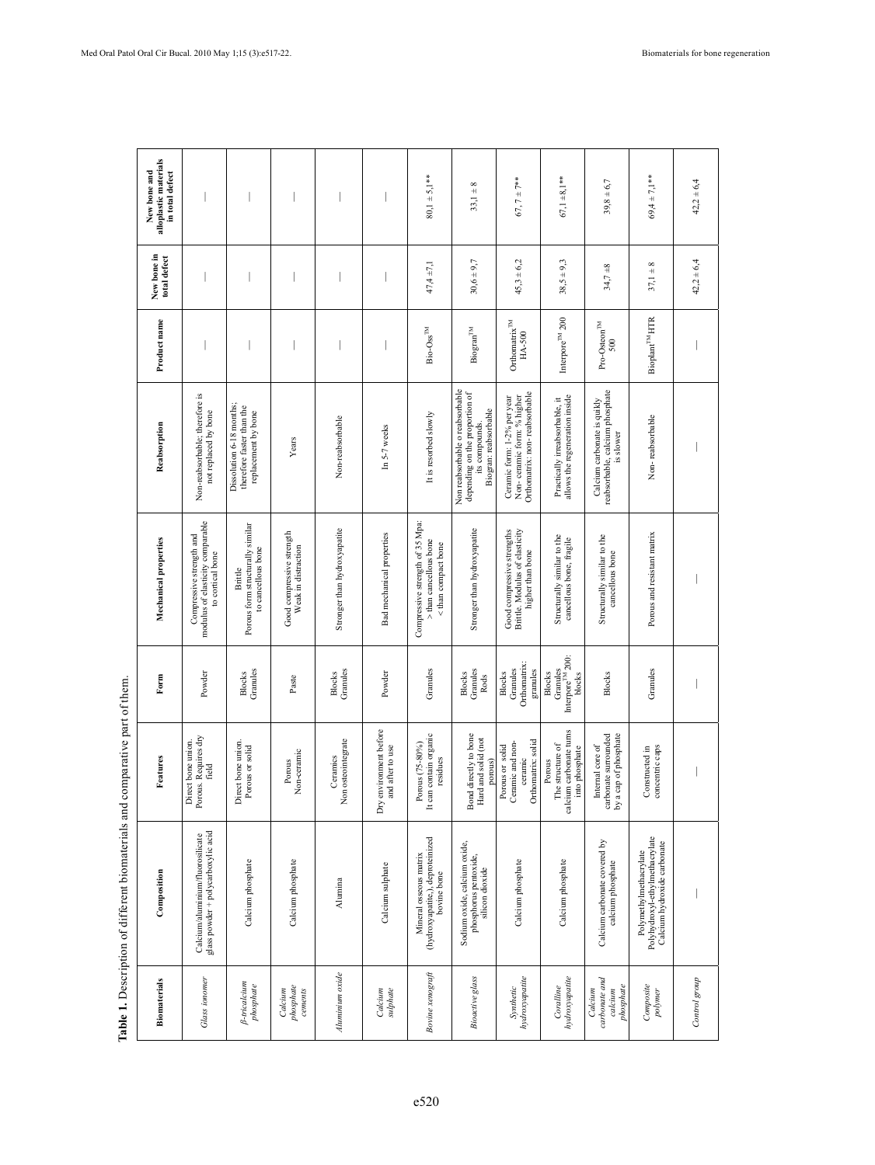| alloplastic materials<br>New bone and<br>in total defect |                                                                                  |                                                                              |                                                  |                                |                                            | $80,1 \pm 5,1**$                                                                 | $33,1 + 8$                                                                                                   | 67, $7 + 7$ **                                                                             | $67,1 + 8,1$ **                                                         | $39,8 + 6,7$                                                                | $59,4 \pm 7,1**$                                                                        | $42,2 \pm 6,4$ |
|----------------------------------------------------------|----------------------------------------------------------------------------------|------------------------------------------------------------------------------|--------------------------------------------------|--------------------------------|--------------------------------------------|----------------------------------------------------------------------------------|--------------------------------------------------------------------------------------------------------------|--------------------------------------------------------------------------------------------|-------------------------------------------------------------------------|-----------------------------------------------------------------------------|-----------------------------------------------------------------------------------------|----------------|
| New bone in<br>total defect                              |                                                                                  |                                                                              |                                                  |                                |                                            | $47,4 \pm 7,1$                                                                   | $30,6 \pm 9,7$                                                                                               | $45,3 \pm 6,2$                                                                             | $38,5 \pm 9,3$                                                          | $34,7 + 8$                                                                  | $37,1 + 8$                                                                              | $42,2 \pm 6,4$ |
| Product name                                             |                                                                                  |                                                                              |                                                  |                                |                                            | $\mathbf{Bio-Oss}^{\text{TM}}$                                                   | <b>Biogran<sup>TM</sup></b>                                                                                  | Orthomatrix <sup>TM</sup><br>HA-500                                                        | Interpore <sup>TM</sup> 200                                             | $\mbox{Pro-Osteon}^{\mbox{{\tiny TM}}}$<br>500                              | Bioplant <sup>TM</sup> HTR                                                              |                |
| Reabsorption                                             | Non-reabsorbable; therefore is<br>not replaced by bone                           | Dissolution 6-18 months;<br>therefore faster than the<br>replacement by bone | Years                                            | Non-reabsorbable               | In 5-7 weeks                               | It is resorbed slowly                                                            | Non reabsorbable o reabsorbable<br>depending on the proportion of<br>Biogran: reabsorbable<br>its compounds. | Orthomatrix: non-reabsorbable<br>Non-ceramic form: % higher<br>Ceramic form: 1-2% per year | allows the regeneration inside<br>Practically irreabsorbable, it        | reabsorbable, calcium phosphate<br>Calcium carbonate is quikly<br>is slower | Non-reabsorbable                                                                        |                |
| Mechanical properties                                    | modulus of elasticity comparable<br>Compressive strength and<br>to cortical bone | Porous form structurally similar<br>to cancellous bone<br>Brittle            | Good compressive strength<br>Weak in distraction | Stronger than hydroxyapatite   | Bad mechanical properties                  | Compressive strength of 35 Mpa:<br>> than cancellous bone<br>< than compact bone | Stronger than hydroxyapatite                                                                                 | Good compressive strengths<br>Brittle. Modulus of elasticity<br>higher than bone           | Structurally similar to the<br>cancellous bone, fragile                 | Structurally similar to the<br>cancellous bone                              | Porous and resistant matrix                                                             |                |
| Form                                                     | Powder                                                                           | Granules<br><b>Blocks</b>                                                    | Paste                                            | Granules<br><b>Blocks</b>      | Powder                                     | Granules                                                                         | Granules<br><b>Blocks</b><br><b>Rods</b>                                                                     | Orthomatrix:<br>Granules<br>granules<br><b>Blocks</b>                                      | Interpore <sup>TM</sup> 200:<br>Granules<br><b>Blocks</b><br>blocks     | <b>Blocks</b>                                                               | Granules                                                                                |                |
| Features                                                 | Porous. Requires dry<br>Direct bone union.<br>field                              | Direct bone union.<br>Porous or solid                                        | Non-ceramic<br>Porous                            | Non osteointegrate<br>Ceramics | Dry environment before<br>and after to use | It can contain organic<br>Porous (75-80%)<br>residues                            | Bond directly to bone<br>Hard and solid (not<br>orous)                                                       | Orthomatrix: solid<br>Ceramic and non-<br>Porous or solid<br>ceramic                       | calcium carbonate turns<br>The structure of<br>into phosphate<br>Porous | by a cap of phosphate<br>carbonate surrounded<br>Internal core of           | concentric caps<br>Constructed in                                                       | I              |
| Composition                                              | glass powder + polycarboxylic acid<br>Calcium/aluminium/fluorosilicate           | Calcium phosphate                                                            | Calcium phosphate                                | Alumina                        | Calcium sulphate                           | (hydroxyapatite,), deproteinized<br>Mineral osseous matrix<br>bovine bone        | Sodium oxide, calcium oxide,<br>phosphorus pentoxide,<br>silicon dioxide                                     | Calcium phosphate                                                                          | Calcium phosphate                                                       | Calcium carbonate covered by<br>calcium phosphate                           | Polyhydroxyl-ethylmethacrylate<br>Calcium hydroxide carbonate<br>Polymethylmethacrylate |                |
| <b>Biomaterials</b>                                      | <b>Glass</b> ionomer                                                             | <b><i>B-tricalcium</i></b><br>phosphate                                      | phosphate<br>Calcium<br>cements                  | Aluminium oxide                | Calcium<br>sulphate                        | Bovine xenograft                                                                 | <b>Bioactive</b> glass                                                                                       | hydroxyapatite<br>Synthetic                                                                | hydroxyapatite<br>Coralline                                             | carbonate and<br>phosphate<br>Calcium<br>calcium                            | Composite<br>polymer                                                                    | Control group  |

Table 1. Description of different biomaterials and comparative part of them. **Table 1.** Description of different biomaterials and comparative part of them.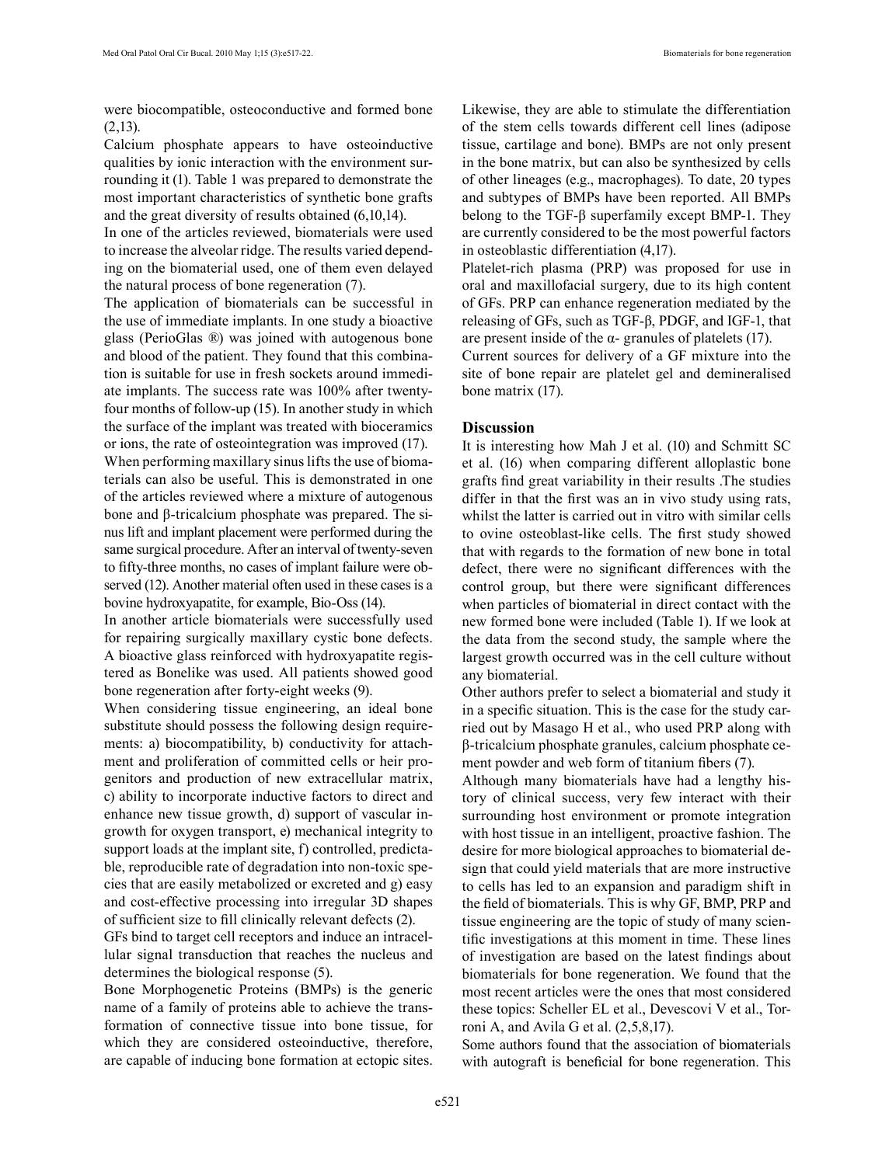were biocompatible, osteoconductive and formed bone (2,13).

Calcium phosphate appears to have osteoinductive qualities by ionic interaction with the environment surrounding it (1). Table 1 was prepared to demonstrate the most important characteristics of synthetic bone grafts and the great diversity of results obtained (6,10,14).

In one of the articles reviewed, biomaterials were used to increase the alveolar ridge. The results varied depending on the biomaterial used, one of them even delayed the natural process of bone regeneration (7).

The application of biomaterials can be successful in the use of immediate implants. In one study a bioactive glass (PerioGlas ®) was joined with autogenous bone and blood of the patient. They found that this combination is suitable for use in fresh sockets around immediate implants. The success rate was 100% after twentyfour months of follow-up (15). In another study in which the surface of the implant was treated with bioceramics or ions, the rate of osteointegration was improved (17). When performing maxillary sinus lifts the use of biomaterials can also be useful. This is demonstrated in one of the articles reviewed where a mixture of autogenous bone and β-tricalcium phosphate was prepared. The si-

nus lift and implant placement were performed during the same surgical procedure. After an interval of twenty-seven to fifty-three months, no cases of implant failure were observed (12). Another material often used in these cases is a bovine hydroxyapatite, for example, Bio-Oss (14).

In another article biomaterials were successfully used for repairing surgically maxillary cystic bone defects. A bioactive glass reinforced with hydroxyapatite registered as Bonelike was used. All patients showed good bone regeneration after forty-eight weeks (9).

When considering tissue engineering, an ideal bone substitute should possess the following design requirements: a) biocompatibility, b) conductivity for attachment and proliferation of committed cells or heir progenitors and production of new extracellular matrix, c) ability to incorporate inductive factors to direct and enhance new tissue growth, d) support of vascular ingrowth for oxygen transport, e) mechanical integrity to support loads at the implant site, f) controlled, predictable, reproducible rate of degradation into non-toxic species that are easily metabolized or excreted and g) easy and cost-effective processing into irregular 3D shapes of sufficient size to fill clinically relevant defects (2).

GFs bind to target cell receptors and induce an intracellular signal transduction that reaches the nucleus and determines the biological response (5).

Bone Morphogenetic Proteins (BMPs) is the generic name of a family of proteins able to achieve the transformation of connective tissue into bone tissue, for which they are considered osteoinductive, therefore, are capable of inducing bone formation at ectopic sites.

Likewise, they are able to stimulate the differentiation of the stem cells towards different cell lines (adipose tissue, cartilage and bone). BMPs are not only present in the bone matrix, but can also be synthesized by cells of other lineages (e.g., macrophages). To date, 20 types and subtypes of BMPs have been reported. All BMPs belong to the TGF-β superfamily except BMP-1. They are currently considered to be the most powerful factors in osteoblastic differentiation (4,17).

Platelet-rich plasma (PRP) was proposed for use in oral and maxillofacial surgery, due to its high content of GFs. PRP can enhance regeneration mediated by the releasing of GFs, such as TGF-β, PDGF, and IGF-1, that are present inside of the  $\alpha$ - granules of platelets (17).

Current sources for delivery of a GF mixture into the site of bone repair are platelet gel and demineralised bone matrix (17).

### **Discussion**

It is interesting how Mah J et al. (10) and Schmitt SC et al. (16) when comparing different alloplastic bone grafts find great variability in their results .The studies differ in that the first was an in vivo study using rats, whilst the latter is carried out in vitro with similar cells to ovine osteoblast-like cells. The first study showed that with regards to the formation of new bone in total defect, there were no significant differences with the control group, but there were significant differences when particles of biomaterial in direct contact with the new formed bone were included (Table 1). If we look at the data from the second study, the sample where the largest growth occurred was in the cell culture without any biomaterial.

Other authors prefer to select a biomaterial and study it in a specific situation. This is the case for the study carried out by Masago H et al., who used PRP along with β-tricalcium phosphate granules, calcium phosphate cement powder and web form of titanium fibers (7).

Although many biomaterials have had a lengthy history of clinical success, very few interact with their surrounding host environment or promote integration with host tissue in an intelligent, proactive fashion. The desire for more biological approaches to biomaterial design that could yield materials that are more instructive to cells has led to an expansion and paradigm shift in the field of biomaterials. This is why GF, BMP, PRP and tissue engineering are the topic of study of many scientific investigations at this moment in time. These lines of investigation are based on the latest findings about biomaterials for bone regeneration. We found that the most recent articles were the ones that most considered these topics: Scheller EL et al., Devescovi V et al., Torroni A, and Avila G et al. (2,5,8,17).

Some authors found that the association of biomaterials with autograft is beneficial for bone regeneration. This